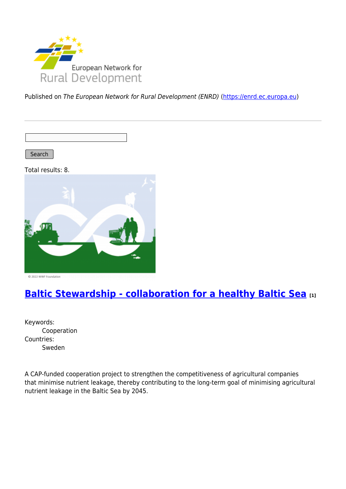

Published on The European Network for Rural Development (ENRD) [\(https://enrd.ec.europa.eu](https://enrd.ec.europa.eu))

Search

Total results: 8.



# **[Baltic Stewardship - collaboration for a healthy Baltic Sea](https://enrd.ec.europa.eu/projects-practice/baltic-stewardship-collaboration-healthy-baltic-sea_en) [1]**

Keywords: Cooperation Countries: Sweden

A CAP-funded cooperation project to strengthen the competitiveness of agricultural companies that minimise nutrient leakage, thereby contributing to the long-term goal of minimising agricultural nutrient leakage in the Baltic Sea by 2045.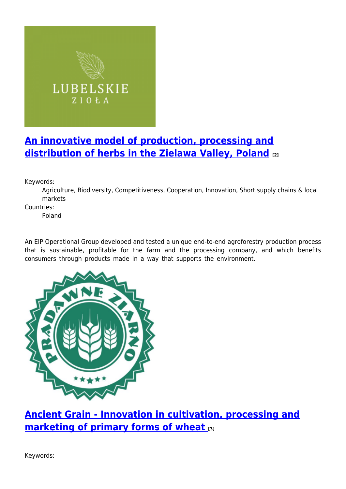

# **[An innovative model of production, processing and](https://enrd.ec.europa.eu/projects-practice/innovative-model-production-processing-and-distribution-herbs-zielawa-valley_en) [distribution of herbs in the Zielawa Valley, Poland](https://enrd.ec.europa.eu/projects-practice/innovative-model-production-processing-and-distribution-herbs-zielawa-valley_en) [2]**

Keywords:

Agriculture, Biodiversity, Competitiveness, Cooperation, Innovation, Short supply chains & local markets

Countries:

Poland

An EIP Operational Group developed and tested a unique end-to-end agroforestry production process that is sustainable, profitable for the farm and the processing company, and which benefits consumers through products made in a way that supports the environment.



**[Ancient Grain - Innovation in cultivation, processing and](https://enrd.ec.europa.eu/projects-practice/ancient-grain-innovation-cultivation-processing-and-marketing-primary-forms-wheat_en) [marketing of primary forms of wheat](https://enrd.ec.europa.eu/projects-practice/ancient-grain-innovation-cultivation-processing-and-marketing-primary-forms-wheat_en) [3]**

Keywords: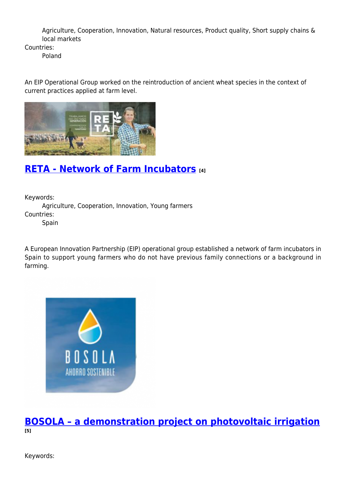Agriculture, Cooperation, Innovation, Natural resources, Product quality, Short supply chains & local markets

Countries:

Poland

An EIP Operational Group worked on the reintroduction of ancient wheat species in the context of current practices applied at farm level.



# **[RETA - Network of Farm Incubators](https://enrd.ec.europa.eu/projects-practice/reta-network-farm-incubators_en) [4]**

Keywords:

Agriculture, Cooperation, Innovation, Young farmers Countries:

Spain

A European Innovation Partnership (EIP) operational group established a network of farm incubators in Spain to support young farmers who do not have previous family connections or a background in farming.



### **[BOSOLA – a demonstration project on photovoltaic irrigation](https://enrd.ec.europa.eu/projects-practice/bosola-demonstration-project-photovoltaic-irrigation_en) [5]**

Keywords: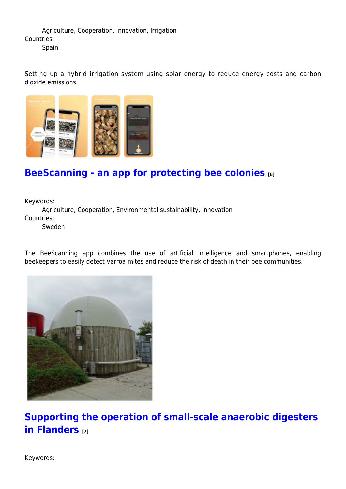Agriculture, Cooperation, Innovation, Irrigation Countries: **Spain** 

Setting up a hybrid irrigation system using solar energy to reduce energy costs and carbon dioxide emissions.



# **[BeeScanning - an app for protecting bee colonies](https://enrd.ec.europa.eu/projects-practice/beescanning-app-protecting-bee-colonies_en) [6]**

Keywords:

Agriculture, Cooperation, Environmental sustainability, Innovation Countries:

Sweden

The BeeScanning app combines the use of artificial intelligence and smartphones, enabling beekeepers to easily detect Varroa mites and reduce the risk of death in their bee communities.



**[Supporting the operation of small-scale anaerobic digesters](https://enrd.ec.europa.eu/projects-practice/supporting-operation-small-scale-anaerobic-digesters-flanders_en) [in Flanders](https://enrd.ec.europa.eu/projects-practice/supporting-operation-small-scale-anaerobic-digesters-flanders_en) [7]**

Keywords: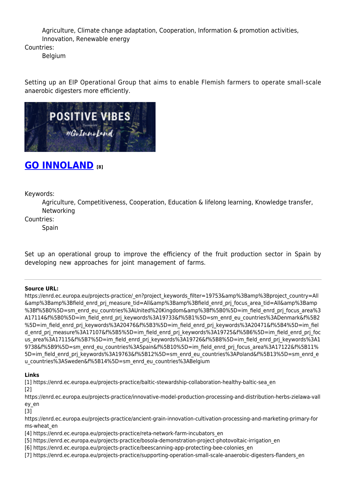Agriculture, Climate change adaptation, Cooperation, Information & promotion activities, Innovation, Renewable energy

Countries:

Belgium

Setting up an EIP Operational Group that aims to enable Flemish farmers to operate small-scale anaerobic digesters more efficiently.



## **[GO INNOLAND](https://enrd.ec.europa.eu/projects-practice/go-innoland_en) [8]**

Keywords:

Agriculture, Competitiveness, Cooperation, Education & lifelong learning, Knowledge transfer, Networking

Countries:

Spain

Set up an operational group to improve the efficiency of the fruit production sector in Spain by developing new approaches for joint management of farms.

### **Source URL:**

https://enrd.ec.europa.eu/projects-practice/\_en?project\_keywords\_filter=19753&amp%3Bamp%3Bproject\_country=All &amp%3Bamp%3Bfield\_enrd\_prj\_measure\_tid=All&amp%3Bamp%3Bfield\_enrd\_prj\_focus\_area\_tid=All&amp%3Bamp %3Bf%5B0%5D=sm\_enrd\_eu\_countries%3AUnited%20Kingdom&amp%3Bf%5B0%5D=im\_field\_enrd\_prj\_focus\_area%3 A17114&f%5B0%5D=im\_field\_enrd\_prj\_keywords%3A19733&f%5B1%5D=sm\_enrd\_eu\_countries%3ADenmark&f%5B2 %5D=im\_field\_enrd\_prj\_keywords%3A20476&f%5B3%5D=im\_field\_enrd\_prj\_keywords%3A20471&f%5B4%5D=im\_fiel d\_enrd\_prj\_measure%3A17107&f%5B5%5D=im\_field\_enrd\_prj\_keywords%3A19725&f%5B6%5D=im\_field\_enrd\_prj\_foc us area%3A17115&f%5B7%5D=im field enrd prj keywords%3A19726&f%5B8%5D=im field enrd prj keywords%3A1 9738&f%5B9%5D=sm\_enrd\_eu\_countries%3ASpain&f%5B10%5D=im\_field\_enrd\_prj\_focus\_area%3A17122&f%5B11% 5D=im\_field\_enrd\_prj\_keywords%3A19763&f%5B12%5D=sm\_enrd\_eu\_countries%3APoland&f%5B13%5D=sm\_enrd\_e u countries%3ASweden&f%5B14%5D=sm\_enrd\_eu\_countries%3ABelgium

### **Links**

[1] https://enrd.ec.europa.eu/projects-practice/baltic-stewardship-collaboration-healthy-baltic-sea\_en

[2]

https://enrd.ec.europa.eu/projects-practice/innovative-model-production-processing-and-distribution-herbs-zielawa-vall ey\_en

[3]

https://enrd.ec.europa.eu/projects-practice/ancient-grain-innovation-cultivation-processing-and-marketing-primary-for ms-wheat\_en

[4] https://enrd.ec.europa.eu/projects-practice/reta-network-farm-incubators\_en

[5] https://enrd.ec.europa.eu/projects-practice/bosola-demonstration-project-photovoltaic-irrigation\_en

[6] https://enrd.ec.europa.eu/projects-practice/beescanning-app-protecting-bee-colonies\_en

[7] https://enrd.ec.europa.eu/projects-practice/supporting-operation-small-scale-anaerobic-digesters-flanders\_en